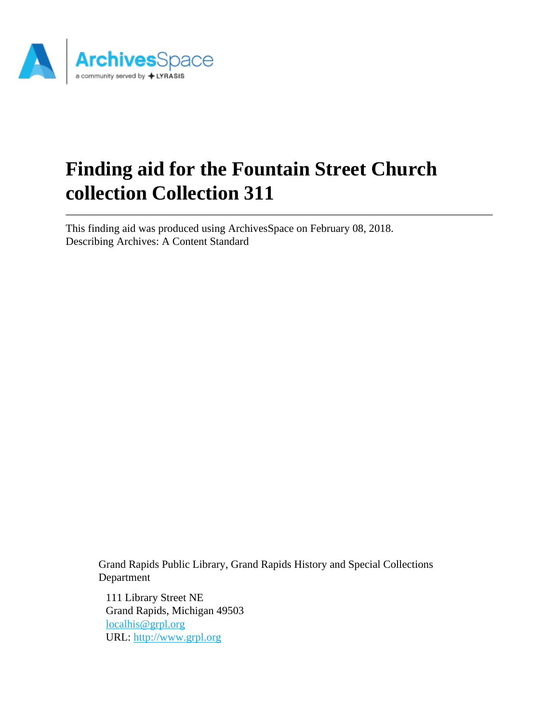

# **Finding aid for the Fountain Street Church collection Collection 311**

This finding aid was produced using ArchivesSpace on February 08, 2018. Describing Archives: A Content Standard

> Grand Rapids Public Library, Grand Rapids History and Special Collections Department

111 Library Street NE Grand Rapids, Michigan 49503 [localhis@grpl.org](mailto:localhis@grpl.org) URL:<http://www.grpl.org>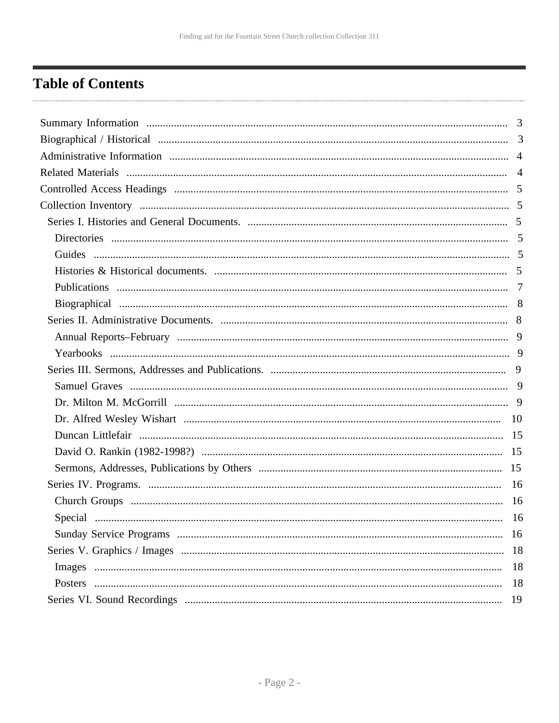## <span id="page-1-0"></span>**Table of Contents**

| 18 |
|----|
| 18 |
| 18 |
| 19 |
|    |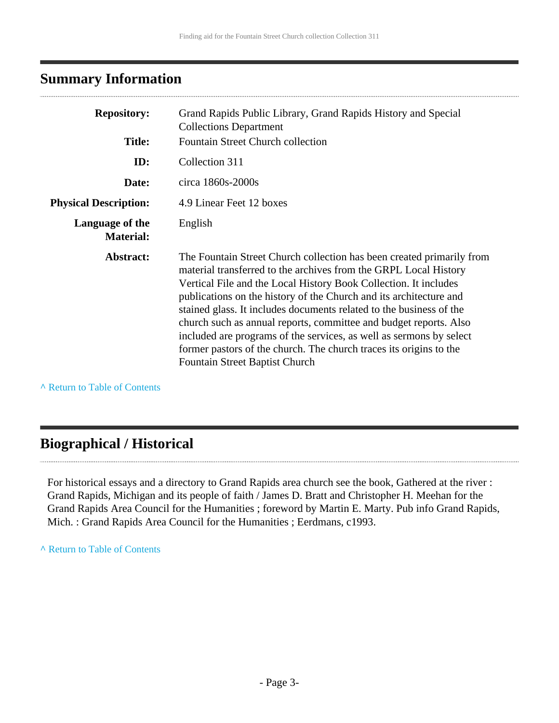## <span id="page-2-0"></span>**Summary Information**

| <b>Repository:</b>                  | Grand Rapids Public Library, Grand Rapids History and Special<br><b>Collections Department</b><br>Fountain Street Church collection                                                                                                                                                                                                                                                                                                                                                                                                                                                                            |
|-------------------------------------|----------------------------------------------------------------------------------------------------------------------------------------------------------------------------------------------------------------------------------------------------------------------------------------------------------------------------------------------------------------------------------------------------------------------------------------------------------------------------------------------------------------------------------------------------------------------------------------------------------------|
| <b>Title:</b>                       |                                                                                                                                                                                                                                                                                                                                                                                                                                                                                                                                                                                                                |
| ID:                                 | Collection 311                                                                                                                                                                                                                                                                                                                                                                                                                                                                                                                                                                                                 |
| Date:                               | circa 1860s-2000s                                                                                                                                                                                                                                                                                                                                                                                                                                                                                                                                                                                              |
| <b>Physical Description:</b>        | 4.9 Linear Feet 12 boxes                                                                                                                                                                                                                                                                                                                                                                                                                                                                                                                                                                                       |
| Language of the<br><b>Material:</b> | English                                                                                                                                                                                                                                                                                                                                                                                                                                                                                                                                                                                                        |
| Abstract:                           | The Fountain Street Church collection has been created primarily from<br>material transferred to the archives from the GRPL Local History<br>Vertical File and the Local History Book Collection. It includes<br>publications on the history of the Church and its architecture and<br>stained glass. It includes documents related to the business of the<br>church such as annual reports, committee and budget reports. Also<br>included are programs of the services, as well as sermons by select<br>former pastors of the church. The church traces its origins to the<br>Fountain Street Baptist Church |

**^** [Return to Table of Contents](#page-1-0)

### <span id="page-2-1"></span>**Biographical / Historical**

For historical essays and a directory to Grand Rapids area church see the book, Gathered at the river : Grand Rapids, Michigan and its people of faith / James D. Bratt and Christopher H. Meehan for the Grand Rapids Area Council for the Humanities ; foreword by Martin E. Marty. Pub info Grand Rapids, Mich. : Grand Rapids Area Council for the Humanities ; Eerdmans, c1993.

#### **^** [Return to Table of Contents](#page-1-0)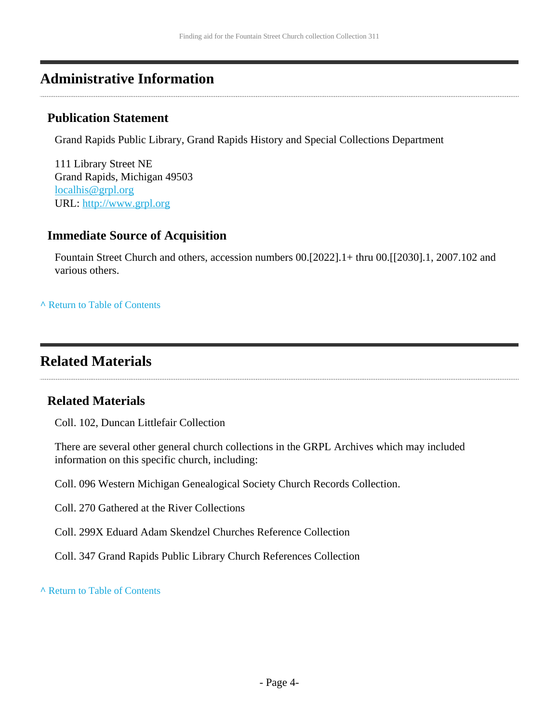### <span id="page-3-0"></span>**Administrative Information**

#### **Publication Statement**

Grand Rapids Public Library, Grand Rapids History and Special Collections Department

111 Library Street NE Grand Rapids, Michigan 49503 [localhis@grpl.org](mailto:localhis@grpl.org) URL:<http://www.grpl.org>

#### **Immediate Source of Acquisition**

Fountain Street Church and others, accession numbers 00.[2022].1+ thru 00.[[2030].1, 2007.102 and various others.

**^** [Return to Table of Contents](#page-1-0)

### <span id="page-3-1"></span>**Related Materials**

#### **Related Materials**

Coll. 102, Duncan Littlefair Collection

There are several other general church collections in the GRPL Archives which may included information on this specific church, including:

Coll. 096 Western Michigan Genealogical Society Church Records Collection.

Coll. 270 Gathered at the River Collections

Coll. 299X Eduard Adam Skendzel Churches Reference Collection

Coll. 347 Grand Rapids Public Library Church References Collection

**^** [Return to Table of Contents](#page-1-0)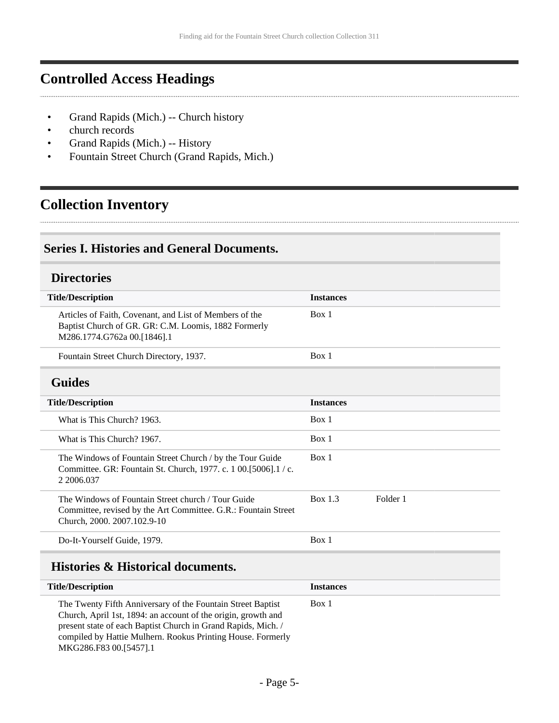## <span id="page-4-0"></span>**Controlled Access Headings**

- Grand Rapids (Mich.) -- Church history
- church records
- Grand Rapids (Mich.) -- History
- Fountain Street Church (Grand Rapids, Mich.)

## <span id="page-4-1"></span>**Collection Inventory**

#### <span id="page-4-2"></span>**Series I. Histories and General Documents.**

#### <span id="page-4-3"></span>**Directories**

<span id="page-4-4"></span>

| <b>Title/Description</b>                                                                                                                            | <b>Instances</b>           |
|-----------------------------------------------------------------------------------------------------------------------------------------------------|----------------------------|
| Articles of Faith, Covenant, and List of Members of the<br>Baptist Church of GR. GR: C.M. Loomis, 1882 Formerly<br>M286.1774.G762a 00.[1846].1      | Box 1                      |
| Fountain Street Church Directory, 1937.                                                                                                             | Box 1                      |
| <b>Guides</b>                                                                                                                                       |                            |
| <b>Title/Description</b>                                                                                                                            | <b>Instances</b>           |
| What is This Church? 1963.                                                                                                                          | Box 1                      |
| What is This Church? 1967.                                                                                                                          | Box 1                      |
| The Windows of Fountain Street Church / by the Tour Guide<br>Committee. GR: Fountain St. Church, 1977. c. 1 00.[5006].1 / c.<br>2 2006.037          | Box 1                      |
| The Windows of Fountain Street church / Tour Guide<br>Committee, revised by the Art Committee. G.R.: Fountain Street<br>Church, 2000. 2007.102.9-10 | <b>Box 1.3</b><br>Folder 1 |
| Do-It-Yourself Guide, 1979.                                                                                                                         | Box 1                      |

### <span id="page-4-5"></span>**Histories & Historical documents.**

| <b>Title/Description</b>                                                                                                                                                                                                                                   | <b>Instances</b> |
|------------------------------------------------------------------------------------------------------------------------------------------------------------------------------------------------------------------------------------------------------------|------------------|
| The Twenty Fifth Anniversary of the Fountain Street Baptist<br>Church, April 1st, 1894: an account of the origin, growth and<br>present state of each Baptist Church in Grand Rapids, Mich.<br>compiled by Hattie Mulhern. Rookus Printing House. Formerly | Box 1            |
| MKG286.F83 00.[5457].1                                                                                                                                                                                                                                     |                  |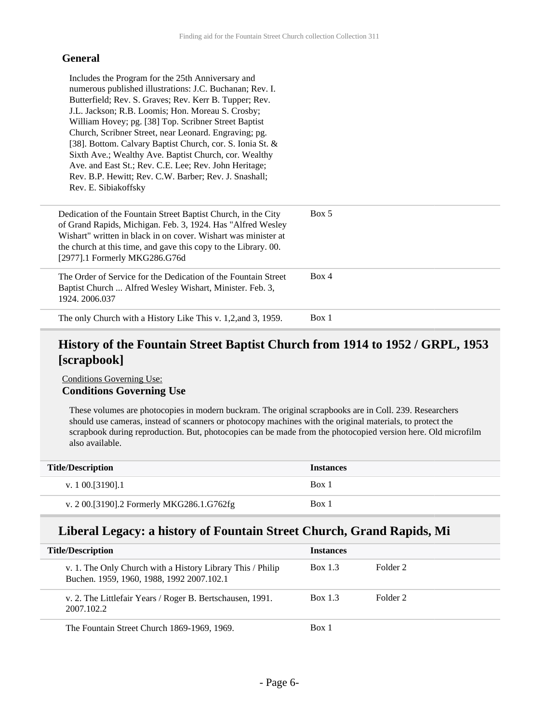#### **General**

| Includes the Program for the 25th Anniversary and<br>numerous published illustrations: J.C. Buchanan; Rev. I.<br>Butterfield; Rev. S. Graves; Rev. Kerr B. Tupper; Rev.<br>J.L. Jackson; R.B. Loomis; Hon. Moreau S. Crosby;<br>William Hovey; pg. [38] Top. Scribner Street Baptist<br>Church, Scribner Street, near Leonard. Engraving; pg.<br>[38]. Bottom. Calvary Baptist Church, cor. S. Ionia St. &<br>Sixth Ave.; Wealthy Ave. Baptist Church, cor. Wealthy<br>Ave. and East St.; Rev. C.E. Lee; Rev. John Heritage;<br>Rev. B.P. Hewitt; Rev. C.W. Barber; Rev. J. Snashall;<br>Rev. E. Sibiakoffsky |       |
|---------------------------------------------------------------------------------------------------------------------------------------------------------------------------------------------------------------------------------------------------------------------------------------------------------------------------------------------------------------------------------------------------------------------------------------------------------------------------------------------------------------------------------------------------------------------------------------------------------------|-------|
| Dedication of the Fountain Street Baptist Church, in the City<br>of Grand Rapids, Michigan. Feb. 3, 1924. Has "Alfred Wesley<br>Wishart" written in black in on cover. Wishart was minister at<br>the church at this time, and gave this copy to the Library. 00.<br>[2977].1 Formerly MKG286.G76d                                                                                                                                                                                                                                                                                                            | Box 5 |
| The Order of Service for the Dedication of the Fountain Street<br>Baptist Church  Alfred Wesley Wishart, Minister. Feb. 3,<br>1924. 2006.037                                                                                                                                                                                                                                                                                                                                                                                                                                                                  | Box 4 |
| The only Church with a History Like This v. 1,2, and 3, 1959.                                                                                                                                                                                                                                                                                                                                                                                                                                                                                                                                                 | Box 1 |

### **History of the Fountain Street Baptist Church from 1914 to 1952 / GRPL, 1953 [scrapbook]**

Conditions Governing Use: **Conditions Governing Use**

These volumes are photocopies in modern buckram. The original scrapbooks are in Coll. 239. Researchers should use cameras, instead of scanners or photocopy machines with the original materials, to protect the scrapbook during reproduction. But, photocopies can be made from the photocopied version here. Old microfilm also available.

| <b>Title/Description</b>                  | <b>Instances</b> |
|-------------------------------------------|------------------|
| v. 1 00. [3190]. 1                        | Box 1            |
| v. 2 00.[3190].2 Formerly MKG286.1.G762fg | Box 1            |

#### **Liberal Legacy: a history of Fountain Street Church, Grand Rapids, Mi**

| <b>Title/Description</b>                                                                                | <b>Instances</b> |          |  |
|---------------------------------------------------------------------------------------------------------|------------------|----------|--|
| v. 1. The Only Church with a History Library This / Philip<br>Buchen. 1959, 1960, 1988, 1992 2007.102.1 | <b>Box 1.3</b>   | Folder 2 |  |
| v. 2. The Littlefair Years / Roger B. Bertschausen, 1991.<br>2007.102.2                                 | Box 1.3          | Folder 2 |  |
| The Fountain Street Church 1869-1969, 1969.                                                             | Box 1            |          |  |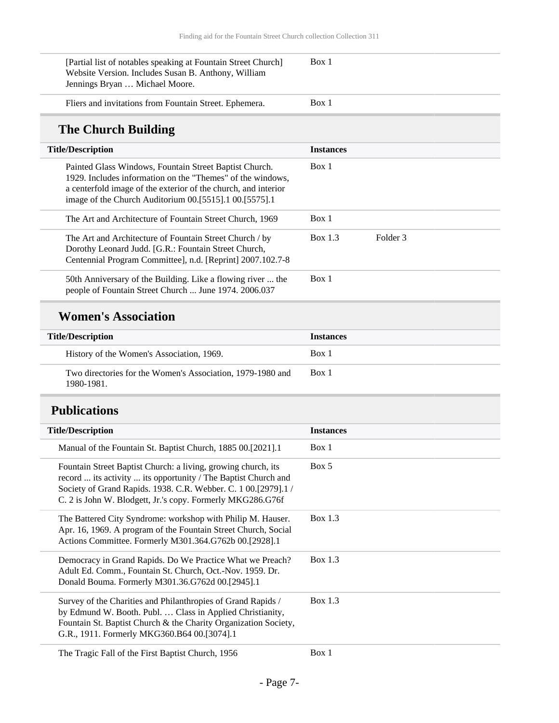| [Partial list of notables speaking at Fountain Street Church]<br>Website Version. Includes Susan B. Anthony, William<br>Jennings Bryan  Michael Moore.                                                                                           | Box 1            |          |  |
|--------------------------------------------------------------------------------------------------------------------------------------------------------------------------------------------------------------------------------------------------|------------------|----------|--|
| Fliers and invitations from Fountain Street. Ephemera.                                                                                                                                                                                           | Box 1            |          |  |
| The Church Building                                                                                                                                                                                                                              |                  |          |  |
| <b>Title/Description</b>                                                                                                                                                                                                                         | <b>Instances</b> |          |  |
| Painted Glass Windows, Fountain Street Baptist Church.<br>1929. Includes information on the "Themes" of the windows.<br>a centerfold image of the exterior of the church, and interior<br>image of the Church Auditorium 00.[5515].1 00.[5575].1 | Box 1            |          |  |
| The Art and Architecture of Fountain Street Church, 1969                                                                                                                                                                                         | Box 1            |          |  |
| The Art and Architecture of Fountain Street Church / by<br>Dorothy Leonard Judd. [G.R.: Fountain Street Church,<br>Centennial Program Committee], n.d. [Reprint] 2007.102.7-8                                                                    | Box 1.3          | Folder 3 |  |
| 50th Anniversary of the Building. Like a flowing river  the<br>people of Fountain Street Church  June 1974. 2006.037                                                                                                                             | Box 1            |          |  |
|                                                                                                                                                                                                                                                  |                  |          |  |

### **Women's Association**

| <b>Title/Description</b>                                                 | <b>Instances</b> |
|--------------------------------------------------------------------------|------------------|
| History of the Women's Association, 1969.                                | Box 1            |
| Two directories for the Women's Association, 1979-1980 and<br>1980-1981. | Box 1            |

## <span id="page-6-0"></span>**Publications**

| <b>Title/Description</b>                                                                                                                                                                                                                                        | <b>Instances</b> |
|-----------------------------------------------------------------------------------------------------------------------------------------------------------------------------------------------------------------------------------------------------------------|------------------|
| Manual of the Fountain St. Baptist Church, 1885 00.[2021].1                                                                                                                                                                                                     | Box 1            |
| Fountain Street Baptist Church: a living, growing church, its<br>record  its activity  its opportunity / The Baptist Church and<br>Society of Grand Rapids. 1938. C.R. Webber. C. 1 00.[2979].1 /<br>C. 2 is John W. Blodgett, Jr.'s copy. Formerly MKG286.G76f | Box 5            |
| The Battered City Syndrome: workshop with Philip M. Hauser.<br>Apr. 16, 1969. A program of the Fountain Street Church, Social<br>Actions Committee. Formerly M301.364.G762b 00.[2928].1                                                                         | Box $1.3$        |
| Democracy in Grand Rapids. Do We Practice What we Preach?<br>Adult Ed. Comm., Fountain St. Church, Oct.-Nov. 1959. Dr.<br>Donald Bouma. Formerly M301.36.G762d 00.[2945].1                                                                                      | Box $1.3$        |
| Survey of the Charities and Philanthropies of Grand Rapids /<br>by Edmund W. Booth. Publ.  Class in Applied Christianity,<br>Fountain St. Baptist Church & the Charity Organization Society,<br>G.R., 1911. Formerly MKG360.B64 00.[3074].1                     | Box $1.3$        |
| The Tragic Fall of the First Baptist Church, 1956                                                                                                                                                                                                               | Box 1            |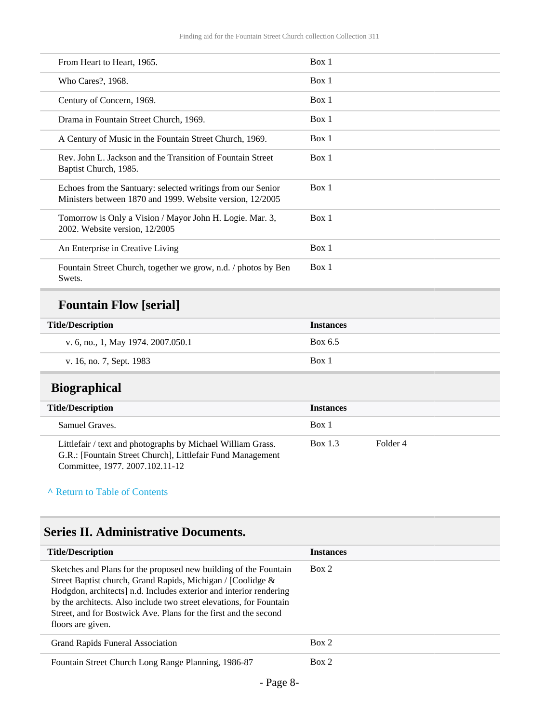| From Heart to Heart, 1965.                                                                                               | Box 1 |
|--------------------------------------------------------------------------------------------------------------------------|-------|
| Who Cares?, 1968.                                                                                                        | Box 1 |
| Century of Concern, 1969.                                                                                                | Box 1 |
| Drama in Fountain Street Church, 1969.                                                                                   | Box 1 |
| A Century of Music in the Fountain Street Church, 1969.                                                                  | Box 1 |
| Rev. John L. Jackson and the Transition of Fountain Street<br>Baptist Church, 1985.                                      | Box 1 |
| Echoes from the Santuary: selected writings from our Senior<br>Ministers between 1870 and 1999. Website version, 12/2005 | Box 1 |
| Tomorrow is Only a Vision / Mayor John H. Logie. Mar. 3,<br>2002. Website version, 12/2005                               | Box 1 |
| An Enterprise in Creative Living                                                                                         | Box 1 |
| Fountain Street Church, together we grow, n.d. / photos by Ben<br>Swets.                                                 | Box 1 |

## **Fountain Flow [serial]**

| <b>Title/Description</b>           | <b>Instances</b> |
|------------------------------------|------------------|
| v. 6, no., 1, May 1974. 2007.050.1 | Box 6.5          |
| v. 16, no. 7, Sept. 1983           | Box 1            |

### <span id="page-7-0"></span>**Biographical**

| <b>Title/Description</b>                                                                                                  | <b>Instances</b> |          |
|---------------------------------------------------------------------------------------------------------------------------|------------------|----------|
| Samuel Graves.                                                                                                            | Box 1            |          |
| Littlefair / text and photographs by Michael William Grass.<br>G.R.: [Fountain Street Church], Littlefair Fund Management | Box 1.3          | Folder 4 |

Committee, 1977. 2007.102.11-12

#### **^** [Return to Table of Contents](#page-1-0)

### <span id="page-7-1"></span>**Series II. Administrative Documents.**

| <b>Title/Description</b>                                                                                                                                                                                                                                                                                                                                              | <b>Instances</b> |
|-----------------------------------------------------------------------------------------------------------------------------------------------------------------------------------------------------------------------------------------------------------------------------------------------------------------------------------------------------------------------|------------------|
| Sketches and Plans for the proposed new building of the Fountain<br>Street Baptist church, Grand Rapids, Michigan / [Coolidge &<br>Hodgdon, architects] n.d. Includes exterior and interior rendering<br>by the architects. Also include two street elevations, for Fountain<br>Street, and for Bostwick Ave. Plans for the first and the second<br>floors are given. | Box 2            |
| Grand Rapids Funeral Association                                                                                                                                                                                                                                                                                                                                      | Box 2            |
| Fountain Street Church Long Range Planning, 1986-87                                                                                                                                                                                                                                                                                                                   | Box 2            |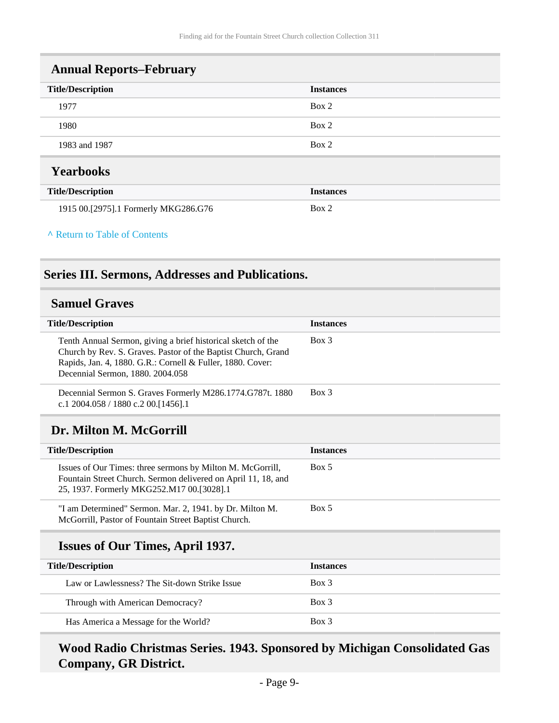<span id="page-8-0"></span>

| <b>Annual Reports–February</b>       |                  |  |
|--------------------------------------|------------------|--|
| <b>Title/Description</b>             | <b>Instances</b> |  |
| 1977                                 | Box 2            |  |
| 1980                                 | Box 2            |  |
| 1983 and 1987                        | Box 2            |  |
| <b>Yearbooks</b>                     |                  |  |
| <b>Title/Description</b>             | <b>Instances</b> |  |
| 1915 00.[2975].1 Formerly MKG286.G76 | Box 2            |  |

#### <span id="page-8-1"></span>**^** [Return to Table of Contents](#page-1-0)

### <span id="page-8-2"></span>**Series III. Sermons, Addresses and Publications.**

### <span id="page-8-3"></span>**Samuel Graves**

<span id="page-8-4"></span>

| <b>Title/Description</b>                                                                                                                                                                                                        | <b>Instances</b> |
|---------------------------------------------------------------------------------------------------------------------------------------------------------------------------------------------------------------------------------|------------------|
| Tenth Annual Sermon, giving a brief historical sketch of the<br>Church by Rev. S. Graves. Pastor of the Baptist Church, Grand<br>Rapids, Jan. 4, 1880. G.R.: Cornell & Fuller, 1880. Cover:<br>Decennial Sermon, 1880. 2004.058 | $Box$ 3          |
| Decennial Sermon S. Graves Formerly M286.1774.G787t. 1880<br>c.1 2004.058 / 1880 c.2 00. [1456]. 1                                                                                                                              | $Box$ 3          |
| Dr. Milton M. McGorrill                                                                                                                                                                                                         |                  |
| <b>Title/Description</b>                                                                                                                                                                                                        | <b>Instances</b> |
| Issues of Our Times: three sermons by Milton M. McGorrill,<br>Fountain Street Church. Sermon delivered on April 11, 18, and<br>25, 1937. Formerly MKG252.M17 00.[3028].1                                                        | Box 5            |
| "I am Determined" Sermon. Mar. 2, 1941. by Dr. Milton M.<br>McGorrill, Pastor of Fountain Street Baptist Church.                                                                                                                | Box 5            |
|                                                                                                                                                                                                                                 |                  |

### **Issues of Our Times, April 1937.**

| <b>Title/Description</b>                      | <b>Instances</b> |
|-----------------------------------------------|------------------|
| Law or Lawlessness? The Sit-down Strike Issue | Box 3            |
| Through with American Democracy?              | Box 3            |
| Has America a Message for the World?          | $Box$ 3          |

### **Wood Radio Christmas Series. 1943. Sponsored by Michigan Consolidated Gas Company, GR District.**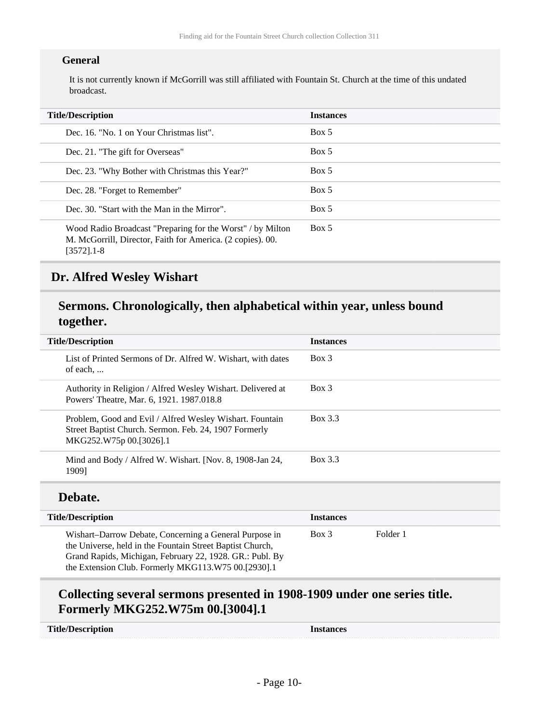#### **General**

It is not currently known if McGorrill was still affiliated with Fountain St. Church at the time of this undated broadcast.

| <b>Title/Description</b>                                                                                                                   | <b>Instances</b> |
|--------------------------------------------------------------------------------------------------------------------------------------------|------------------|
| Dec. 16. "No. 1 on Your Christmas list".                                                                                                   | Box 5            |
| Dec. 21. "The gift for Overseas"                                                                                                           | Box 5            |
| Dec. 23. "Why Bother with Christmas this Year?"                                                                                            | Box 5            |
| Dec. 28. "Forget to Remember"                                                                                                              | Box 5            |
| Dec. 30. "Start with the Man in the Mirror".                                                                                               | Box 5            |
| Wood Radio Broadcast "Preparing for the Worst" / by Milton<br>M. McGorrill, Director, Faith for America. (2 copies). 00.<br>$[3572]$ . 1-8 | Box 5            |

#### <span id="page-9-0"></span>**Dr. Alfred Wesley Wishart**

### **Sermons. Chronologically, then alphabetical within year, unless bound together.**

| <b>Title/Description</b> |                                                                                                                                              | <b>Instances</b> |
|--------------------------|----------------------------------------------------------------------------------------------------------------------------------------------|------------------|
|                          | List of Printed Sermons of Dr. Alfred W. Wishart, with dates<br>of each                                                                      | Box 3            |
|                          | Authority in Religion / Alfred Wesley Wishart. Delivered at<br>Powers' Theatre, Mar. 6, 1921. 1987.018.8                                     | Box 3            |
|                          | Problem, Good and Evil / Alfred Wesley Wishart. Fountain<br>Street Baptist Church. Sermon. Feb. 24, 1907 Formerly<br>MKG252.W75p 00.[3026].1 | Box 3.3          |
|                          | Mind and Body / Alfred W. Wishart. [Nov. 8, 1908-Jan 24,<br>19091                                                                            | Box 3.3          |

#### **Debate.**

| <b>Title/Description</b>                                                                                                                                                                                                               | <b>Instances</b> |          |
|----------------------------------------------------------------------------------------------------------------------------------------------------------------------------------------------------------------------------------------|------------------|----------|
| Wishart-Darrow Debate, Concerning a General Purpose in<br>the Universe, held in the Fountain Street Baptist Church,<br>Grand Rapids, Michigan, February 22, 1928. GR.: Publ. By<br>the Extension Club. Formerly MKG113.W75 00.[2930].1 | Box 3            | Folder 1 |

### **Collecting several sermons presented in 1908-1909 under one series title. Formerly MKG252.W75m 00.[3004].1**

| <b>Title/Description</b> | Instances |
|--------------------------|-----------|
|                          |           |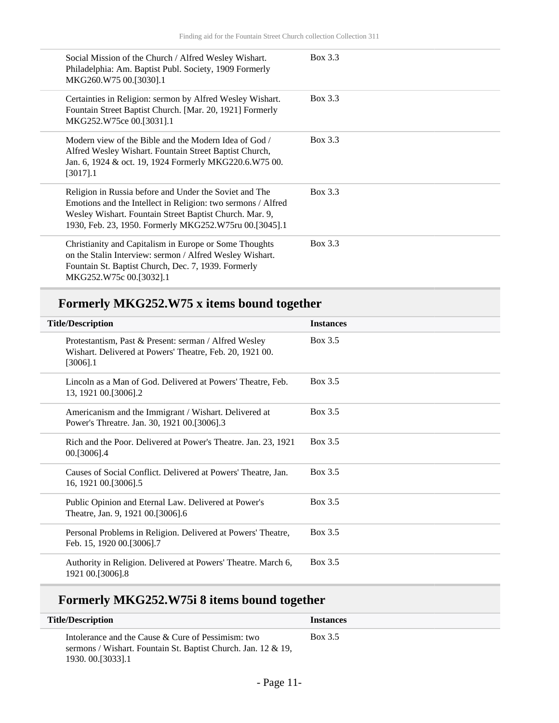| Social Mission of the Church / Alfred Wesley Wishart.<br>Philadelphia: Am. Baptist Publ. Society, 1909 Formerly<br>MKG260.W75 00.[3030].1                                                                                                   | Box 3.3 |
|---------------------------------------------------------------------------------------------------------------------------------------------------------------------------------------------------------------------------------------------|---------|
| Certainties in Religion: sermon by Alfred Wesley Wishart.<br>Fountain Street Baptist Church. [Mar. 20, 1921] Formerly<br>MKG252.W75ce 00.[3031].1                                                                                           | Box 3.3 |
| Modern view of the Bible and the Modern Idea of God /<br>Alfred Wesley Wishart. Fountain Street Baptist Church,<br>Jan. 6, 1924 & oct. 19, 1924 Formerly MKG220.6.W75 00.<br>$[3017]$ .1                                                    | Box 3.3 |
| Religion in Russia before and Under the Soviet and The<br>Emotions and the Intellect in Religion: two sermons / Alfred<br>Wesley Wishart. Fountain Street Baptist Church. Mar. 9,<br>1930, Feb. 23, 1950. Formerly MKG252.W75ru 00.[3045].1 | Box 3.3 |
| Christianity and Capitalism in Europe or Some Thoughts<br>on the Stalin Interview: sermon / Alfred Wesley Wishart.<br>Fountain St. Baptist Church, Dec. 7, 1939. Formerly<br>MKG252.W75c 00.[3032].1                                        | Box 3.3 |

## **Formerly MKG252.W75 x items bound together**

| <b>Title/Description</b> |                                                                                                                                  | <b>Instances</b> |
|--------------------------|----------------------------------------------------------------------------------------------------------------------------------|------------------|
|                          | Protestantism, Past & Present: serman / Alfred Wesley<br>Wishart. Delivered at Powers' Theatre, Feb. 20, 1921 00.<br>$[3006]$ .1 | Box 3.5          |
|                          | Lincoln as a Man of God. Delivered at Powers' Theatre, Feb.<br>13, 1921 00. [3006]. 2                                            | Box 3.5          |
|                          | Americanism and the Immigrant / Wishart. Delivered at<br>Power's Threatre. Jan. 30, 1921 00.[3006].3                             | Box 3.5          |
|                          | Rich and the Poor. Delivered at Power's Theatre. Jan. 23, 1921<br>00.[3006].4                                                    | Box 3.5          |
|                          | Causes of Social Conflict. Delivered at Powers' Theatre, Jan.<br>16, 1921 00. [3006] .5                                          | Box 3.5          |
|                          | Public Opinion and Eternal Law. Delivered at Power's<br>Theatre, Jan. 9, 1921 00.[3006].6                                        | Box 3.5          |
|                          | Personal Problems in Religion. Delivered at Powers' Theatre,<br>Feb. 15, 1920 00.[3006].7                                        | Box 3.5          |
|                          | Authority in Religion. Delivered at Powers' Theatre. March 6,<br>1921 00.[3006].8                                                | Box 3.5          |

## **Formerly MKG252.W75i 8 items bound together**

| <b>Title/Description</b>                                                                                                                   | <b>Instances</b> |
|--------------------------------------------------------------------------------------------------------------------------------------------|------------------|
| Intolerance and the Cause & Cure of Pessimism: two<br>sermons / Wishart. Fountain St. Baptist Church. Jan. 12 & 19,<br>1930. 00. [3033]. 1 | Box 3.5          |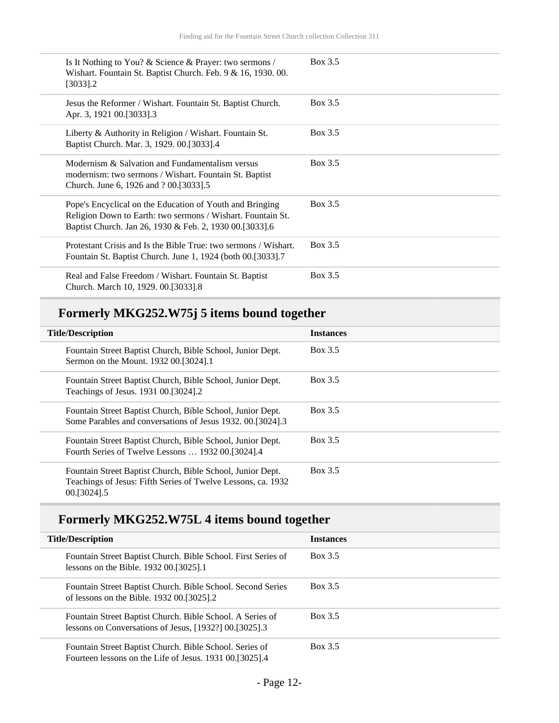| Is It Nothing to You? & Science & Prayer: two sermons /<br>Wishart. Fountain St. Baptist Church. Feb. 9 & 16, 1930. 00.<br>$[3033]$ .2                                             | Box 3.5 |
|------------------------------------------------------------------------------------------------------------------------------------------------------------------------------------|---------|
| Jesus the Reformer / Wishart. Fountain St. Baptist Church.<br>Apr. 3, 1921 00.[3033].3                                                                                             | Box 3.5 |
| Liberty & Authority in Religion / Wishart. Fountain St.<br>Baptist Church. Mar. 3, 1929. 00.[3033].4                                                                               | Box 3.5 |
| Modernism & Salvation and Fundamentalism versus<br>modernism: two sermons / Wishart. Fountain St. Baptist<br>Church. June 6, 1926 and ? 00. [3033].5                               | Box 3.5 |
| Pope's Encyclical on the Education of Youth and Bringing<br>Religion Down to Earth: two sermons / Wishart. Fountain St.<br>Baptist Church. Jan 26, 1930 & Feb. 2, 1930 00.[3033].6 | Box 3.5 |
| Protestant Crisis and Is the Bible True: two sermons / Wishart.<br>Fountain St. Baptist Church. June 1, 1924 (both 00.[3033].7                                                     | Box 3.5 |
| Real and False Freedom / Wishart. Fountain St. Baptist<br>Church. March 10, 1929. 00.[3033].8                                                                                      | Box 3.5 |

## **Formerly MKG252.W75j 5 items bound together**

| <b>Title/Description</b> |                                                                                                                                              | <b>Instances</b> |
|--------------------------|----------------------------------------------------------------------------------------------------------------------------------------------|------------------|
|                          | Fountain Street Baptist Church, Bible School, Junior Dept.<br>Sermon on the Mount. 1932 00.[3024].1                                          | Box 3.5          |
|                          | Fountain Street Baptist Church, Bible School, Junior Dept.<br>Teachings of Jesus. 1931 00.[3024].2                                           | Box 3.5          |
|                          | Fountain Street Baptist Church, Bible School, Junior Dept.<br>Some Parables and conversations of Jesus 1932, 00.[3024].3                     | Box 3.5          |
|                          | Fountain Street Baptist Church, Bible School, Junior Dept.<br>Fourth Series of Twelve Lessons  1932 00.[3024].4                              | Box 3.5          |
|                          | Fountain Street Baptist Church, Bible School, Junior Dept.<br>Teachings of Jesus: Fifth Series of Twelve Lessons, ca. 1932<br>00. [3024] . 5 | Box 3.5          |

## **Formerly MKG252.W75L 4 items bound together**

| <b>Title/Description</b>                                                                                                  | <b>Instances</b> |
|---------------------------------------------------------------------------------------------------------------------------|------------------|
| Fountain Street Baptist Church. Bible School. First Series of<br>lessons on the Bible. 1932 00. [3025]. 1                 | Box 3.5          |
| Fountain Street Baptist Church. Bible School. Second Series<br>of lessons on the Bible. $1932\,00.$ [3025].2              | Box 3.5          |
| Fountain Street Baptist Church. Bible School. A Series of<br>lessons on Conversations of Jesus, $[1932?]$ 00. $[3025]$ .3 | Box 3.5          |
| Fountain Street Baptist Church. Bible School. Series of<br>Fourteen lessons on the Life of Jesus. 1931 00.[3025].4        | Box 3.5          |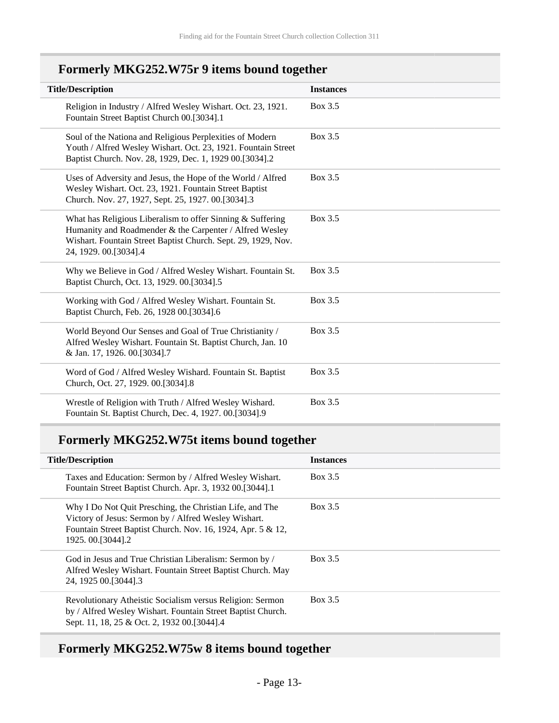## **Formerly MKG252.W75r 9 items bound together**

| <b>Title/Description</b>                                                                                                                                                                                        | <b>Instances</b> |
|-----------------------------------------------------------------------------------------------------------------------------------------------------------------------------------------------------------------|------------------|
| Religion in Industry / Alfred Wesley Wishart. Oct. 23, 1921.<br>Fountain Street Baptist Church 00.[3034].1                                                                                                      | Box 3.5          |
| Soul of the Nationa and Religious Perplexities of Modern<br>Youth / Alfred Wesley Wishart. Oct. 23, 1921. Fountain Street<br>Baptist Church. Nov. 28, 1929, Dec. 1, 1929 00.[3034].2                            | Box 3.5          |
| Uses of Adversity and Jesus, the Hope of the World / Alfred<br>Wesley Wishart. Oct. 23, 1921. Fountain Street Baptist<br>Church. Nov. 27, 1927, Sept. 25, 1927. 00.[3034].3                                     | Box 3.5          |
| What has Religious Liberalism to offer Sinning & Suffering<br>Humanity and Roadmender & the Carpenter / Alfred Wesley<br>Wishart. Fountain Street Baptist Church. Sept. 29, 1929, Nov.<br>24, 1929. 00.[3034].4 | Box 3.5          |
| Why we Believe in God / Alfred Wesley Wishart. Fountain St.<br>Baptist Church, Oct. 13, 1929. 00.[3034].5                                                                                                       | Box 3.5          |
| Working with God / Alfred Wesley Wishart. Fountain St.<br>Baptist Church, Feb. 26, 1928 00.[3034].6                                                                                                             | Box 3.5          |
| World Beyond Our Senses and Goal of True Christianity /<br>Alfred Wesley Wishart. Fountain St. Baptist Church, Jan. 10<br>& Jan. 17, 1926. 00.[3034].7                                                          | Box 3.5          |
| Word of God / Alfred Wesley Wishard. Fountain St. Baptist<br>Church, Oct. 27, 1929. 00.[3034].8                                                                                                                 | Box 3.5          |
| Wrestle of Religion with Truth / Alfred Wesley Wishard.<br>Fountain St. Baptist Church, Dec. 4, 1927. 00.[3034].9                                                                                               | Box 3.5          |

## **Formerly MKG252.W75t items bound together**

| <b>Title/Description</b>                                                                                                                                                                            | <b>Instances</b> |
|-----------------------------------------------------------------------------------------------------------------------------------------------------------------------------------------------------|------------------|
| Taxes and Education: Sermon by / Alfred Wesley Wishart.<br>Fountain Street Baptist Church. Apr. 3, 1932 00.[3044].1                                                                                 | Box 3.5          |
| Why I Do Not Quit Presching, the Christian Life, and The<br>Victory of Jesus: Sermon by / Alfred Wesley Wishart.<br>Fountain Street Baptist Church. Nov. 16, 1924, Apr. 5 & 12,<br>1925.00.[3044].2 | Box 3.5          |
| God in Jesus and True Christian Liberalism: Sermon by /<br>Alfred Wesley Wishart. Fountain Street Baptist Church. May<br>24, 1925 00. [3044] . 3                                                    | Box 3.5          |
| Revolutionary Atheistic Socialism versus Religion: Sermon<br>by / Alfred Wesley Wishart. Fountain Street Baptist Church.<br>Sept. 11, 18, 25 & Oct. 2, 1932 00. [3044]. 4                           | Box 3.5          |

## **Formerly MKG252.W75w 8 items bound together**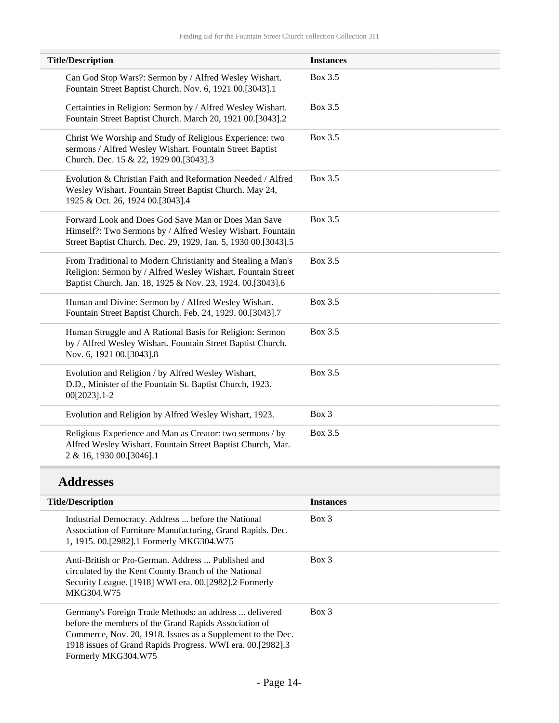| <b>Title/Description</b>                                                                                                                                                                   | <b>Instances</b> |
|--------------------------------------------------------------------------------------------------------------------------------------------------------------------------------------------|------------------|
| Can God Stop Wars?: Sermon by / Alfred Wesley Wishart.<br>Fountain Street Baptist Church. Nov. 6, 1921 00.[3043].1                                                                         | Box 3.5          |
| Certainties in Religion: Sermon by / Alfred Wesley Wishart.<br>Fountain Street Baptist Church. March 20, 1921 00.[3043].2                                                                  | Box 3.5          |
| Christ We Worship and Study of Religious Experience: two<br>sermons / Alfred Wesley Wishart. Fountain Street Baptist<br>Church. Dec. 15 & 22, 1929 00.[3043].3                             | Box 3.5          |
| Evolution & Christian Faith and Reformation Needed / Alfred<br>Wesley Wishart. Fountain Street Baptist Church. May 24,<br>1925 & Oct. 26, 1924 00.[3043].4                                 | Box 3.5          |
| Forward Look and Does God Save Man or Does Man Save<br>Himself?: Two Sermons by / Alfred Wesley Wishart. Fountain<br>Street Baptist Church. Dec. 29, 1929, Jan. 5, 1930 00.[3043].5        | Box 3.5          |
| From Traditional to Modern Christianity and Stealing a Man's<br>Religion: Sermon by / Alfred Wesley Wishart. Fountain Street<br>Baptist Church. Jan. 18, 1925 & Nov. 23, 1924. 00.[3043].6 | Box 3.5          |
| Human and Divine: Sermon by / Alfred Wesley Wishart.<br>Fountain Street Baptist Church. Feb. 24, 1929. 00.[3043].7                                                                         | <b>Box 3.5</b>   |
| Human Struggle and A Rational Basis for Religion: Sermon<br>by / Alfred Wesley Wishart. Fountain Street Baptist Church.<br>Nov. 6, 1921 00.[3043].8                                        | Box 3.5          |
| Evolution and Religion / by Alfred Wesley Wishart,<br>D.D., Minister of the Fountain St. Baptist Church, 1923.<br>00[2023].1-2                                                             | Box 3.5          |
| Evolution and Religion by Alfred Wesley Wishart, 1923.                                                                                                                                     | Box 3            |
| Religious Experience and Man as Creator: two sermons / by<br>Alfred Wesley Wishart. Fountain Street Baptist Church, Mar.<br>2 & 16, 1930 00.[3046].1                                       | Box 3.5          |

## **Addresses**

| <b>Title/Description</b>                                                                                                                                                                                                                                            | <b>Instances</b> |
|---------------------------------------------------------------------------------------------------------------------------------------------------------------------------------------------------------------------------------------------------------------------|------------------|
| Industrial Democracy. Address  before the National<br>Association of Furniture Manufacturing, Grand Rapids. Dec.<br>1, 1915. 00. [2982]. 1 Formerly MKG304. W75                                                                                                     | Box 3            |
| Anti-British or Pro-German. Address  Published and<br>circulated by the Kent County Branch of the National<br>Security League. [1918] WWI era. 00.[2982].2 Formerly<br>MKG304.W75                                                                                   | $Box$ 3          |
| Germany's Foreign Trade Methods: an address  delivered<br>before the members of the Grand Rapids Association of<br>Commerce, Nov. 20, 1918. Issues as a Supplement to the Dec.<br>1918 issues of Grand Rapids Progress. WWI era. 00.[2982].3<br>Formerly MKG304.W75 | $Box$ 3          |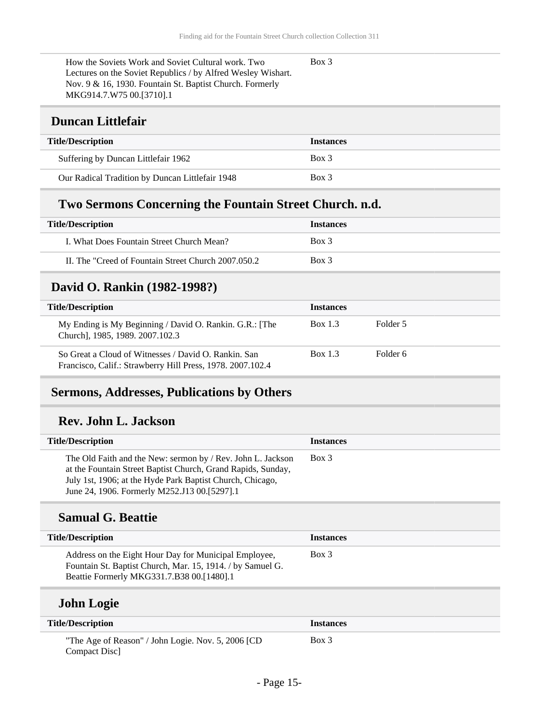Box 3

How the Soviets Work and Soviet Cultural work. Two Lectures on the Soviet Republics / by Alfred Wesley Wishart. Nov. 9 & 16, 1930. Fountain St. Baptist Church. Formerly MKG914.7.W75 00.[3710].1

#### <span id="page-14-0"></span>**Duncan Littlefair**

| <b>Title/Description</b>                        | <b>Instances</b> |
|-------------------------------------------------|------------------|
| Suffering by Duncan Littlefair 1962             | Box 3            |
| Our Radical Tradition by Duncan Littlefair 1948 | Box 3            |

### **Two Sermons Concerning the Fountain Street Church. n.d.**

| <b>Title/Description</b>                            | <b>Instances</b> |
|-----------------------------------------------------|------------------|
| I. What Does Fountain Street Church Mean?           | Box 3            |
| II. The "Creed of Fountain Street Church 2007.050.2 | Box 3            |

### <span id="page-14-1"></span>**David O. Rankin (1982-1998?)**

| <b>Title/Description</b>                                                                                           | <b>Instances</b> |          |
|--------------------------------------------------------------------------------------------------------------------|------------------|----------|
| My Ending is My Beginning / David O. Rankin. G.R.: [The<br>Church], 1985, 1989. 2007.102.3                         | Box 1.3          | Folder 5 |
| So Great a Cloud of Witnesses / David O. Rankin, San<br>Francisco, Calif.: Strawberry Hill Press, 1978. 2007.102.4 | Box 1.3          | Folder 6 |

#### <span id="page-14-2"></span>**Sermons, Addresses, Publications by Others**

#### **Rev. John L. Jackson**

| <b>Title/Description</b>                                                                                                                                                                                                                 | <b>Instances</b> |
|------------------------------------------------------------------------------------------------------------------------------------------------------------------------------------------------------------------------------------------|------------------|
| The Old Faith and the New: sermon by / Rev. John L. Jackson<br>at the Fountain Street Baptist Church, Grand Rapids, Sunday,<br>July 1st, 1906; at the Hyde Park Baptist Church, Chicago,<br>June 24, 1906. Formerly M252.J13 00.[5297].1 | Box 3            |

#### **Samual G. Beattie**

| <b>Title/Description</b>                                                                                                                                         | <b>Instances</b> |
|------------------------------------------------------------------------------------------------------------------------------------------------------------------|------------------|
| Address on the Eight Hour Day for Municipal Employee,<br>Fountain St. Baptist Church, Mar. 15, 1914. / by Samuel G.<br>Beattie Formerly MKG331.7.B38 00.[1480].1 | Box 3            |
| <b>John Logie</b>                                                                                                                                                |                  |
| <b>Title/Description</b>                                                                                                                                         | <b>Instances</b> |

| "The Age of Reason" / John Logie. Nov. 5, 2006 [CD] | $Box\ 3$ |
|-----------------------------------------------------|----------|
| Compact Disc                                        |          |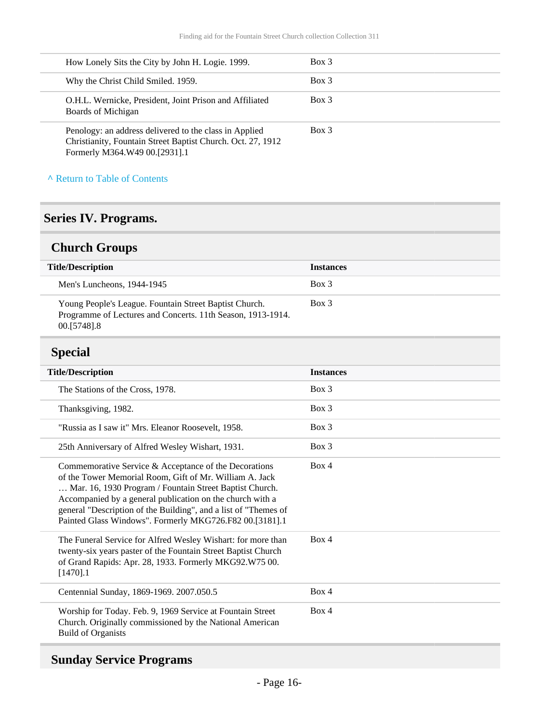| How Lonely Sits the City by John H. Logie. 1999.                                                                                                       | Box 3 |
|--------------------------------------------------------------------------------------------------------------------------------------------------------|-------|
| Why the Christ Child Smiled. 1959.                                                                                                                     | Box 3 |
| O.H.L. Wernicke, President, Joint Prison and Affiliated<br>Boards of Michigan                                                                          | Box 3 |
| Penology: an address delivered to the class in Applied<br>Christianity, Fountain Street Baptist Church. Oct. 27, 1912<br>Formerly M364.W49 00.[2931].1 | Box 3 |

#### **^** [Return to Table of Contents](#page-1-0)

## <span id="page-15-0"></span>**Series IV. Programs.**

## <span id="page-15-1"></span>**Church Groups**

| <b>Title/Description</b>                                                                                                               | <b>Instances</b> |
|----------------------------------------------------------------------------------------------------------------------------------------|------------------|
| Men's Luncheons, 1944-1945                                                                                                             | Box 3            |
| Young People's League. Fountain Street Baptist Church.<br>Programme of Lectures and Concerts. 11th Season, 1913-1914.<br>00. [5748] .8 | Box 3            |

### <span id="page-15-2"></span>**Special**

| <b>Title/Description</b>                                                                                                                                                                                                                                                                                                                                               | <b>Instances</b> |
|------------------------------------------------------------------------------------------------------------------------------------------------------------------------------------------------------------------------------------------------------------------------------------------------------------------------------------------------------------------------|------------------|
| The Stations of the Cross, 1978.                                                                                                                                                                                                                                                                                                                                       | $Box$ 3          |
| Thanksgiving, 1982.                                                                                                                                                                                                                                                                                                                                                    | $Box$ 3          |
| "Russia as I saw it" Mrs. Eleanor Roosevelt, 1958.                                                                                                                                                                                                                                                                                                                     | $Box$ 3          |
| 25th Anniversary of Alfred Wesley Wishart, 1931.                                                                                                                                                                                                                                                                                                                       | $Box$ 3          |
| Commemorative Service & Acceptance of the Decorations<br>of the Tower Memorial Room, Gift of Mr. William A. Jack<br>Mar. 16, 1930 Program / Fountain Street Baptist Church.<br>Accompanied by a general publication on the church with a<br>general "Description of the Building", and a list of "Themes of<br>Painted Glass Windows". Formerly MKG726.F82 00.[3181].1 | Box 4            |
| The Funeral Service for Alfred Wesley Wishart: for more than<br>twenty-six years paster of the Fountain Street Baptist Church<br>of Grand Rapids: Apr. 28, 1933. Formerly MKG92.W75 00.<br>$[1470]$ .1                                                                                                                                                                 | Box 4            |
| Centennial Sunday, 1869-1969. 2007.050.5                                                                                                                                                                                                                                                                                                                               | Box 4            |
| Worship for Today. Feb. 9, 1969 Service at Fountain Street<br>Church. Originally commissioned by the National American<br><b>Build of Organists</b>                                                                                                                                                                                                                    | Box 4            |

## <span id="page-15-3"></span>**Sunday Service Programs**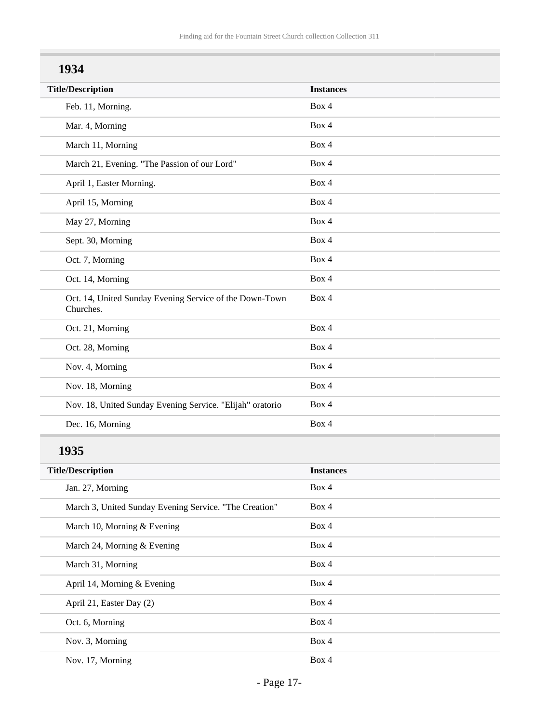| 1934                                                                 |                  |
|----------------------------------------------------------------------|------------------|
| <b>Title/Description</b>                                             | <b>Instances</b> |
| Feb. 11, Morning.                                                    | Box 4            |
| Mar. 4, Morning                                                      | Box 4            |
| March 11, Morning                                                    | Box 4            |
| March 21, Evening. "The Passion of our Lord"                         | Box 4            |
| April 1, Easter Morning.                                             | Box 4            |
| April 15, Morning                                                    | Box 4            |
| May 27, Morning                                                      | Box 4            |
| Sept. 30, Morning                                                    | Box 4            |
| Oct. 7, Morning                                                      | Box 4            |
| Oct. 14, Morning                                                     | Box 4            |
| Oct. 14, United Sunday Evening Service of the Down-Town<br>Churches. | Box 4            |
| Oct. 21, Morning                                                     | Box 4            |
| Oct. 28, Morning                                                     | Box 4            |
| Nov. 4, Morning                                                      | Box 4            |
| Nov. 18, Morning                                                     | Box 4            |
| Nov. 18, United Sunday Evening Service. "Elijah" oratorio            | Box 4            |
| Dec. 16, Morning                                                     | Box 4            |
| 1935                                                                 |                  |
| <b>Title/Description</b>                                             | <b>Instances</b> |
| Jan. 27, Morning                                                     | Box 4            |
| March 3, United Sunday Evening Service. "The Creation"               | Box 4            |
| March 10, Morning & Evening                                          | Box 4            |
| March 24, Morning & Evening                                          | Box 4            |
| March 31, Morning                                                    | Box 4            |
| April 14, Morning & Evening                                          | Box 4            |
| April 21, Easter Day (2)                                             | Box 4            |
| Oct. 6, Morning                                                      | Box 4            |

Nov. 17, Morning Box 4

Nov. 3, Morning Box 4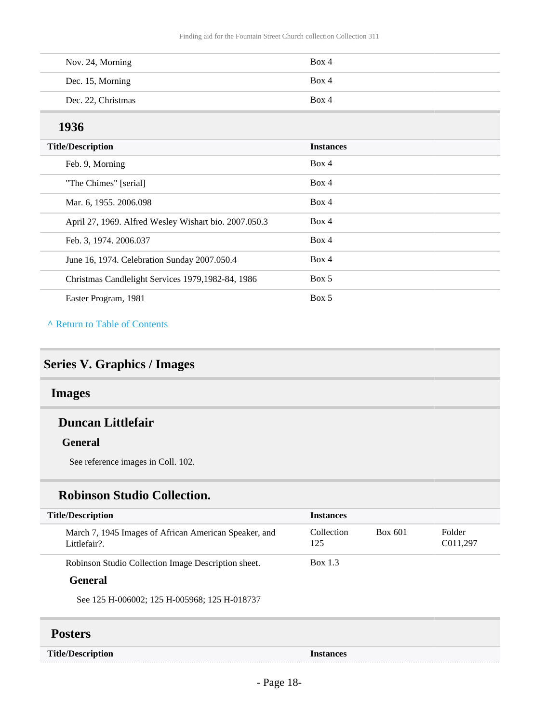| Nov. 24, Morning   | Box 4 |
|--------------------|-------|
| Dec. 15, Morning   | Box 4 |
| Dec. 22, Christmas | Box 4 |

### **1936**

| <b>Title/Description</b>                              | <b>Instances</b> |  |
|-------------------------------------------------------|------------------|--|
| Feb. 9, Morning                                       | Box 4            |  |
| "The Chimes" [serial]                                 | Box 4            |  |
| Mar. 6, 1955. 2006.098                                | Box 4            |  |
| April 27, 1969. Alfred Wesley Wishart bio. 2007.050.3 | Box 4            |  |
| Feb. 3, 1974. 2006.037                                | Box 4            |  |
| June 16, 1974. Celebration Sunday 2007.050.4          | Box 4            |  |
| Christmas Candlelight Services 1979, 1982-84, 1986    | Box 5            |  |
| Easter Program, 1981                                  | Box 5            |  |

**^** [Return to Table of Contents](#page-1-0)

## <span id="page-17-0"></span>**Series V. Graphics / Images**

### <span id="page-17-1"></span>**Images**

#### **Duncan Littlefair**

#### **General**

See reference images in Coll. 102.

#### **Robinson Studio Collection.**

| <b>Title/Description</b>                                              | <b>Instances</b>  |         |                    |
|-----------------------------------------------------------------------|-------------------|---------|--------------------|
| March 7, 1945 Images of African American Speaker, and<br>Littlefair?. | Collection<br>125 | Box 601 | Folder<br>C011,297 |
| Robinson Studio Collection Image Description sheet.                   | Box 1.3           |         |                    |
| General                                                               |                   |         |                    |

See 125 H-006002; 125 H-005968; 125 H-018737

#### <span id="page-17-2"></span>**Posters**

| <b>Title/Description</b> | ишсе |
|--------------------------|------|
|                          |      |